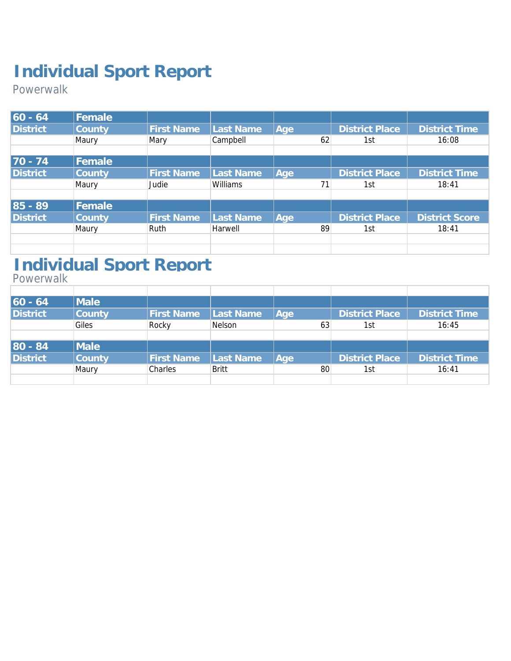Powerwalk

| $60 - 64$       | Female |                   |           |     |    |                       |                       |
|-----------------|--------|-------------------|-----------|-----|----|-----------------------|-----------------------|
| <b>District</b> | County | <b>First Name</b> | Last Name | Age |    | District Place        | <b>District Time</b>  |
|                 | Maury  | Mary              | Campbell  |     | 62 | 1st                   | 16:08                 |
|                 |        |                   |           |     |    |                       |                       |
| $70 - 74$       | Female |                   |           |     |    |                       |                       |
| <b>District</b> | County | <b>First Name</b> | Last Name | Age |    | <b>District Place</b> | <b>District Time</b>  |
|                 | Maury  | Judie             | Williams  |     | 71 | 1st                   | 18:41                 |
|                 |        |                   |           |     |    |                       |                       |
| $85 - 89$       | Female |                   |           |     |    |                       |                       |
| <b>District</b> | County | <b>First Name</b> | Last Name | Age |    | District Place        | <b>District Score</b> |
|                 | Maury  | <b>Ruth</b>       | Harwell   |     | 89 | 1st                   | 18:41                 |
|                 |        |                   |           |     |    |                       |                       |
|                 |        |                   |           |     |    |                       |                       |

### **Individual Sport Report**

Powerwalk

| $60 - 64$       | Male          |                   |           |     |                       |                      |
|-----------------|---------------|-------------------|-----------|-----|-----------------------|----------------------|
| <b>District</b> | <b>County</b> | <b>First Name</b> | Last Name | Aqe | District Place        | <b>District Time</b> |
|                 | Giles         | Rocky             | Nelson    | 63  | 1st                   | 16:45                |
|                 |               |                   |           |     |                       |                      |
| 80 - 84         | Male          |                   |           |     |                       |                      |
| <b>District</b> | County        | <b>First Name</b> | Last Name | Age | <b>District Place</b> | <b>District Time</b> |
|                 | Maury         | Charles           | Britt     | 80  | 1st                   | 16:41                |
|                 |               |                   |           |     |                       |                      |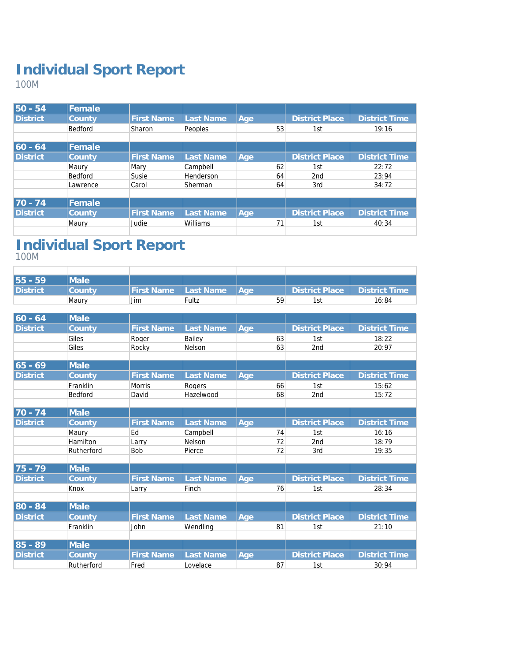100M

| $50 - 54$       | Female   |                   |           |     |                       |                      |
|-----------------|----------|-------------------|-----------|-----|-----------------------|----------------------|
| <b>District</b> | County   | <b>First Name</b> | Last Name | Age | District Place        | <b>District Time</b> |
|                 | Bedford  | Sharon            | Peoples   | 53  | 1st                   | 19:16                |
| $ 60 - 64 $     | Female   |                   |           |     |                       |                      |
|                 |          |                   |           |     |                       |                      |
| <b>District</b> | County   | <b>First Name</b> | Last Name | Age | <b>District Place</b> | <b>District Time</b> |
|                 | Maury    | Mary              | Campbell  | 62  | 1st                   | 22:72                |
|                 | Bedford  | Susie             | Henderson | 64  | 2 <sub>nd</sub>       | 23:94                |
|                 | Lawrence | Carol             | Sherman   | 64  | 3rd                   | 34:72                |
|                 |          |                   |           |     |                       |                      |
| $70 - 74$       | Female   |                   |           |     |                       |                      |
| <b>District</b> | County   | <b>First Name</b> | Last Name | Age | <b>District Place</b> | <b>District Time</b> |
|                 | Maury    | Judie             | Williams  | 71  | 1st                   | 40:34                |
|                 |          |                   |           |     |                       |                      |

#### **Individual Sport Report** 100M

| $55 - 59$       | <i><b>Nale</b></i> |                      |       |             |     |                                |
|-----------------|--------------------|----------------------|-------|-------------|-----|--------------------------------|
| <b>District</b> | County             | First Name Last Name |       | <i>A</i> ae |     | District Place   District Time |
|                 | Maurv              | Jim                  | Fultz | 59          | .st | 16:84                          |

| $ 60 - 64$      | Male       |                   |           |     |    |                       |                      |
|-----------------|------------|-------------------|-----------|-----|----|-----------------------|----------------------|
| <b>District</b> | County     | <b>First Name</b> | Last Name | Age |    | <b>District Place</b> | <b>District Time</b> |
|                 | Giles      | Roger             | Bailey    |     | 63 | 1st                   | 18:22                |
|                 | Giles      | Rocky             | Nelson    |     | 63 | 2nd                   | 20:97                |
|                 |            |                   |           |     |    |                       |                      |
| $65 - 69$       | Male       |                   |           |     |    |                       |                      |
| <b>District</b> | County     | <b>First Name</b> | Last Name | Age |    | <b>District Place</b> | <b>District Time</b> |
|                 | Franklin   | <b>Morris</b>     | Rogers    |     | 66 | 1st                   | 15:62                |
|                 | Bedford    | David             | Hazelwood |     | 68 | 2nd                   | 15:72                |
|                 |            |                   |           |     |    |                       |                      |
| $70 - 74$       | Male       |                   |           |     |    |                       |                      |
| <b>District</b> | County     | <b>First Name</b> | Last Name | Age |    | <b>District Place</b> | <b>District Time</b> |
|                 | Maury      | Ed                | Campbell  |     | 74 | 1st                   | 16:16                |
|                 | Hamilton   | Larry             | Nelson    |     | 72 | 2nd                   | 18:79                |
|                 | Rutherford | Bob               | Pierce    |     | 72 | 3rd                   | 19:35                |
|                 |            |                   |           |     |    |                       |                      |
| 75 - 79         | Male       |                   |           |     |    |                       |                      |
| <b>District</b> | County     | <b>First Name</b> | Last Name | Age |    | <b>District Place</b> | <b>District Time</b> |
|                 | Knox       | Larry             | Finch     |     | 76 | 1st                   | 28:34                |
| 80 - 84         | Male       |                   |           |     |    |                       |                      |
|                 |            |                   |           |     |    |                       |                      |
| <b>District</b> | County     | <b>First Name</b> | Last Name | Age |    | <b>District Place</b> | <b>District Time</b> |
|                 | Franklin   | John              | Wendling  |     | 81 | 1st                   | 21:10                |
| 85 - 89         | Male       |                   |           |     |    |                       |                      |
|                 |            |                   |           |     |    |                       |                      |
| <b>District</b> | County     | <b>First Name</b> | Last Name | Age |    | <b>District Place</b> | <b>District Time</b> |
|                 | Rutherford | Fred              | Lovelace  |     | 87 | 1st                   | 30:94                |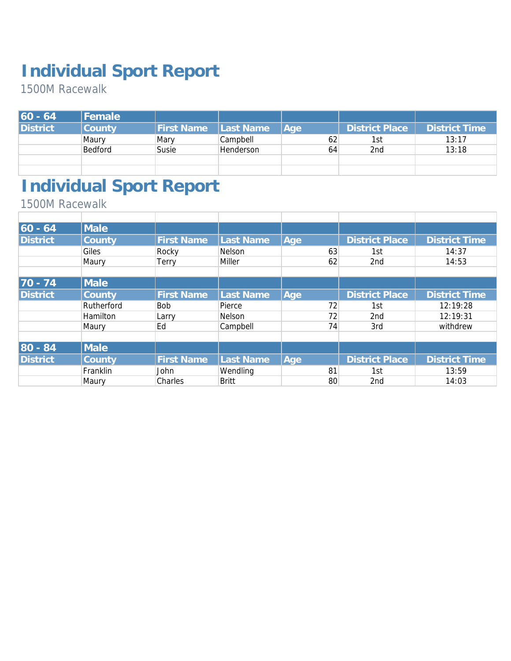1500M Racewalk

| $ 60 - 64 $ | Female  |                   |                  |     |                |                      |
|-------------|---------|-------------------|------------------|-----|----------------|----------------------|
| District    | County  | <b>First Name</b> | Last Name        | Age | District Place | <b>District Time</b> |
|             | Maury   | Mary              | Campbell         | 62  | 1st            | 13:17                |
|             | Bedford | Susie             | <b>Henderson</b> | 64  | 2nd            | 13:18                |
|             |         |                   |                  |     |                |                      |
|             |         |                   |                  |     |                |                      |

## **Individual Sport Report**

1500M Racewalk

| $ 60 - 64 $     | <b>Male</b> |                   |              |     |                       |                      |
|-----------------|-------------|-------------------|--------------|-----|-----------------------|----------------------|
| <b>District</b> | County      | <b>First Name</b> | Last Name    | Age | <b>District Place</b> | <b>District Time</b> |
|                 | Giles       | Rocky             | Nelson       | 63  | 1st                   | 14:37                |
|                 | Maury       | Terry             | Miller       | 62  | 2nd                   | 14:53                |
|                 |             |                   |              |     |                       |                      |
| $70 - 74$       | <b>Male</b> |                   |              |     |                       |                      |
| <b>District</b> | County      | <b>First Name</b> | Last Name    | Age | <b>District Place</b> | <b>District Time</b> |
|                 | Rutherford  | <b>Bob</b>        | Pierce       | 72  | 1st                   | 12:19:28             |
|                 | Hamilton    | Larry             | Nelson       | 72  | 2nd                   | 12:19:31             |
|                 | Maury       | Ed                | Campbell     | 74  | 3rd                   | withdrew             |
|                 |             |                   |              |     |                       |                      |
| 80 - 84         | <b>Male</b> |                   |              |     |                       |                      |
| <b>District</b> | County      | <b>First Name</b> | Last Name    | Age | <b>District Place</b> | <b>District Time</b> |
|                 | Franklin    | John              | Wendling     | 81  | 1st                   | 13:59                |
|                 | Maury       | Charles           | <b>Britt</b> | 80  | 2nd                   | 14:03                |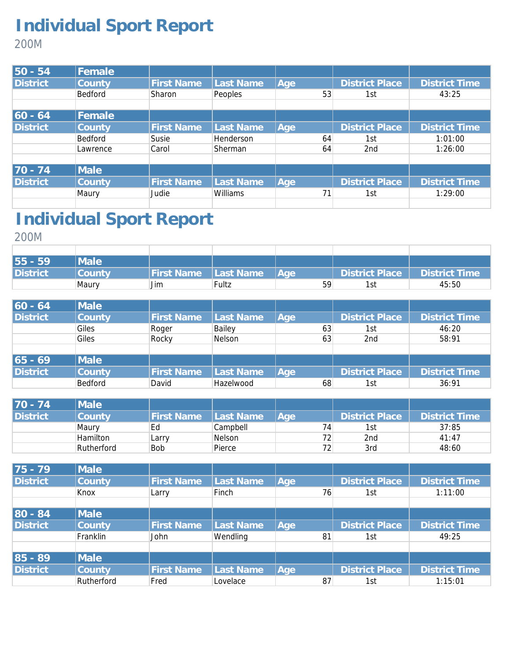200M

| $50 - 54$       | Female         |                   |                 |     |    |                       |                      |
|-----------------|----------------|-------------------|-----------------|-----|----|-----------------------|----------------------|
| <b>District</b> | County         | <b>First Name</b> | Last Name       | Age |    | <b>District Place</b> | <b>District Time</b> |
|                 | <b>Bedford</b> | Sharon            | Peoples         |     | 53 | 1st                   | 43:25                |
|                 |                |                   |                 |     |    |                       |                      |
| $ 60 - 64 $     | Female         |                   |                 |     |    |                       |                      |
| <b>District</b> | County         | <b>First Name</b> | Last Name       | Age |    | <b>District Place</b> | <b>District Time</b> |
|                 | <b>Bedford</b> | Susie             | Henderson       |     | 64 | 1st                   | 1:01:00              |
|                 | Lawrence       | Carol             | Sherman         |     | 64 | 2 <sub>nd</sub>       | 1:26:00              |
|                 |                |                   |                 |     |    |                       |                      |
| $70 - 74$       | Male           |                   |                 |     |    |                       |                      |
| <b>District</b> | County         | <b>First Name</b> | Last Name       | Age |    | <b>District Place</b> | <b>District Time</b> |
|                 | Maury          | Judie             | <b>Williams</b> |     | 71 | 1st                   | 1:29:00              |
|                 |                |                   |                 |     |    |                       |                      |

# **Individual Sport Report**

200M

| 55 - 59  | <b>Male</b> |                   |                   |       |                |                      |
|----------|-------------|-------------------|-------------------|-------|----------------|----------------------|
| District | County      | <b>First Name</b> | <b>ILast Name</b> | l Aae | District Place | <b>District Time</b> |
|          | Maury       | Jim               | Fultz             | 59    | -C1            | 45:50                |

| $ 60 - 64 $     | Male        |                   |           |                  |    |                       |                      |
|-----------------|-------------|-------------------|-----------|------------------|----|-----------------------|----------------------|
| <b>District</b> | County      | <b>First Name</b> | Last Name | Age <sup>1</sup> |    | <b>District Place</b> | <b>District Time</b> |
|                 | Giles       | Roger             | Bailey    |                  | 63 | 1st                   | 46:20                |
|                 | Giles       | Rocky             | Nelson    |                  | 63 | 2 <sub>nd</sub>       | 58:91                |
|                 |             |                   |           |                  |    |                       |                      |
| $ 65 - 69 $     | <b>Male</b> |                   |           |                  |    |                       |                      |
| <b>District</b> | County      | <b>First Name</b> | Last Name | Age              |    | <b>District Place</b> | <b>District Time</b> |
|                 | Bedford     | David             | Hazelwood |                  | 68 | 1st                   | 36:91                |

| $70 - 74$       | <b>Male</b> |            |               |     |                |                      |
|-----------------|-------------|------------|---------------|-----|----------------|----------------------|
| <b>District</b> | County      | First Name | Last Name     | Aae | District Place | <b>District Time</b> |
|                 | Maury       | Ed         | Campbell      | 74  | 1st            | 37:85                |
|                 | Hamilton    | Larry      | <b>Nelson</b> | 72  | 2nd            | 41:47                |
|                 | Rutherford  | <b>Bob</b> | Pierce        | 72  | 3rd            | 48:60                |

| 75 - 79         | Male          |                   |           |     |                       |                      |
|-----------------|---------------|-------------------|-----------|-----|-----------------------|----------------------|
| <b>District</b> | <b>County</b> | <b>First Name</b> | Last Name | Age | <b>District Place</b> | <b>District Time</b> |
|                 | Knox          | Larry             | Finch     | 76  | 1st                   | 1:11:00              |
|                 |               |                   |           |     |                       |                      |
| 80 - 84         | <b>Male</b>   |                   |           |     |                       |                      |
| <b>District</b> | County        | <b>First Name</b> | Last Name | Age | <b>District Place</b> | <b>District Time</b> |
|                 | Franklin      | John              | Wendling  | 81  | 1st                   | 49:25                |
|                 |               |                   |           |     |                       |                      |
| 85 - 89         | Male          |                   |           |     |                       |                      |
| <b>District</b> | County        | <b>First Name</b> | Last Name | Aqe | <b>District Place</b> | <b>District Time</b> |
|                 | Rutherford    | Fred              | Lovelace  | 87  | 1st                   | 1:15:01              |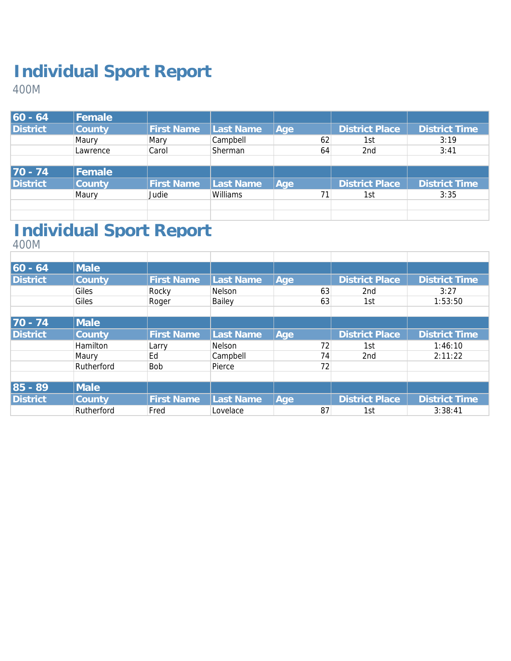400M

| $60 - 64$       | Female         |                   |           |     |                       |                      |
|-----------------|----------------|-------------------|-----------|-----|-----------------------|----------------------|
| <b>District</b> | County         | <b>First Name</b> | Last Name | Age | <b>District Place</b> | <b>District Time</b> |
|                 | Maury          | Mary              | Campbell  | 62  | 1st                   | 3:19                 |
|                 | Lawrence       | Carol             | Sherman   | 64  | 2 <sub>nd</sub>       | 3:41                 |
|                 |                |                   |           |     |                       |                      |
| $70 - 74$       | <b> Female</b> |                   |           |     |                       |                      |
| <b>District</b> | County         | <b>First Name</b> | Last Name | Aqe | <b>District Place</b> | District Time        |
|                 | Maury          | Judie             | Williams  | 71  | 1st                   | 3:35                 |
|                 |                |                   |           |     |                       |                      |
|                 |                |                   |           |     |                       |                      |

# **Individual Sport Report**

400M

| $60 - 64$       | Male            |                   |                  |     |    |                       |                      |
|-----------------|-----------------|-------------------|------------------|-----|----|-----------------------|----------------------|
| <b>District</b> | County          | <b>First Name</b> | Last Name        | Age |    | <b>District Place</b> | <b>District Time</b> |
|                 | Giles           | Rocky             | Nelson           |     | 63 | 2 <sub>nd</sub>       | 3:27                 |
|                 | Giles           | Roger             | Bailey           |     | 63 | 1st                   | 1:53:50              |
|                 |                 |                   |                  |     |    |                       |                      |
| $70 - 74$       | Male            |                   |                  |     |    |                       |                      |
| <b>District</b> | County          | <b>First Name</b> | <b>Last Name</b> | Age |    | <b>District Place</b> | <b>District Time</b> |
|                 | <b>Hamilton</b> | Larry             | Nelson           |     | 72 | 1st                   | 1:46:10              |
|                 | Maury           | Ed                | Campbell         |     | 74 | 2nd                   | 2:11:22              |
|                 | Rutherford      | <b>Bob</b>        | Pierce           |     | 72 |                       |                      |
|                 |                 |                   |                  |     |    |                       |                      |
| $85 - 89$       | Male            |                   |                  |     |    |                       |                      |
| <b>District</b> | County          | <b>First Name</b> | Last Name        | Age |    | <b>District Place</b> | <b>District Time</b> |
|                 | Rutherford      | Fred              | Lovelace         |     | 87 | 1st                   | 3:38:41              |